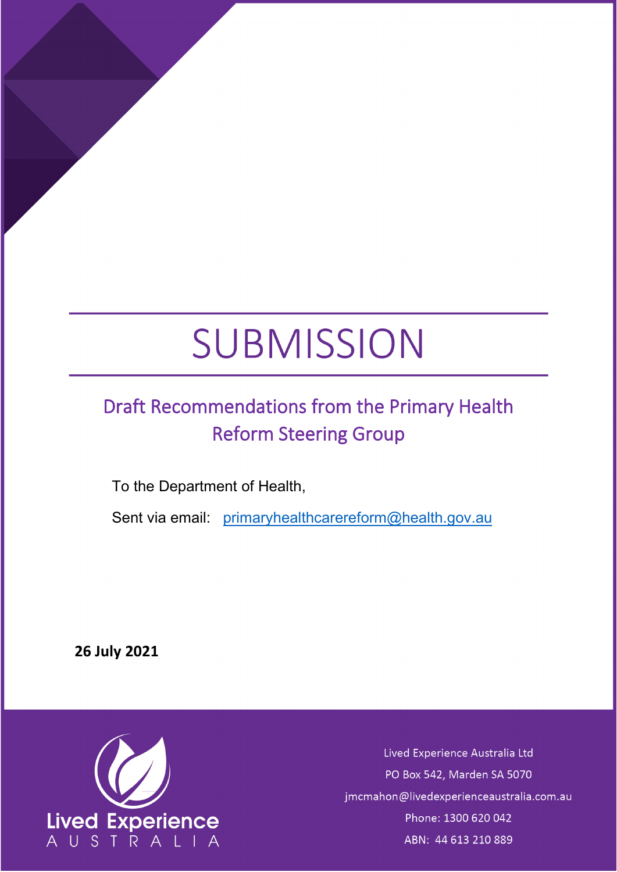# SUBMISSION

# <span id="page-0-0"></span>Draft Recommendations from the Primary Health Reform Steering Group

To the Department of Health,

Sent via email: [primaryhealthcarereform@health.gov.au](mailto:primaryhealthcarereform@health.gov.au)

**26 July 2021**



Lived Experience Australia Ltd PO Box 542, Marden SA 5070 jmcmahon@livedexperienceaustralia.com.au Phone: 1300 620 042 ABN: 44 613 210 889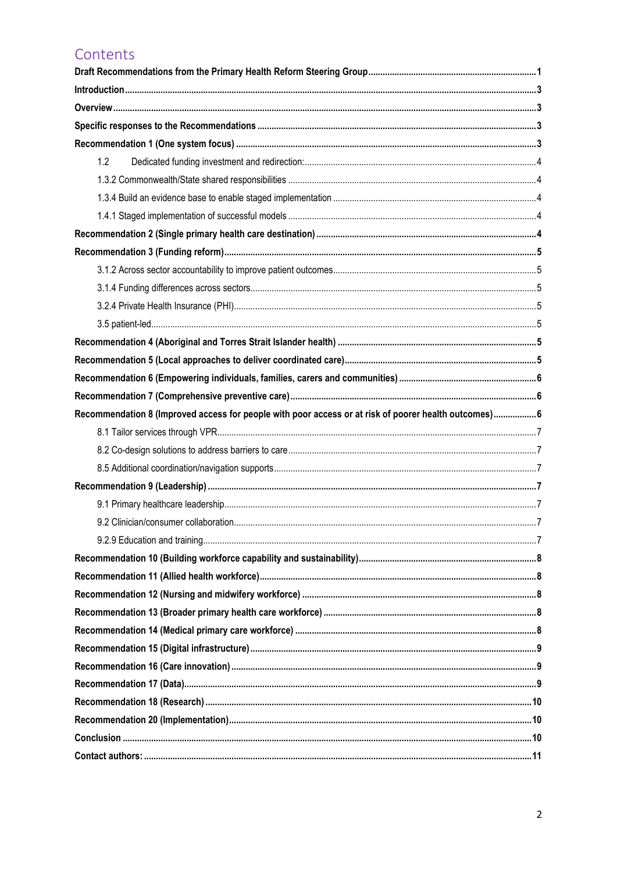# Contents

| 1.2                                                                                                  |  |
|------------------------------------------------------------------------------------------------------|--|
|                                                                                                      |  |
|                                                                                                      |  |
|                                                                                                      |  |
|                                                                                                      |  |
|                                                                                                      |  |
|                                                                                                      |  |
|                                                                                                      |  |
|                                                                                                      |  |
|                                                                                                      |  |
|                                                                                                      |  |
|                                                                                                      |  |
|                                                                                                      |  |
|                                                                                                      |  |
| Recommendation 8 (Improved access for people with poor access or at risk of poorer health outcomes)6 |  |
|                                                                                                      |  |
|                                                                                                      |  |
|                                                                                                      |  |
|                                                                                                      |  |
|                                                                                                      |  |
|                                                                                                      |  |
|                                                                                                      |  |
|                                                                                                      |  |
|                                                                                                      |  |
|                                                                                                      |  |
|                                                                                                      |  |
|                                                                                                      |  |
|                                                                                                      |  |
|                                                                                                      |  |
|                                                                                                      |  |
|                                                                                                      |  |
|                                                                                                      |  |
|                                                                                                      |  |
|                                                                                                      |  |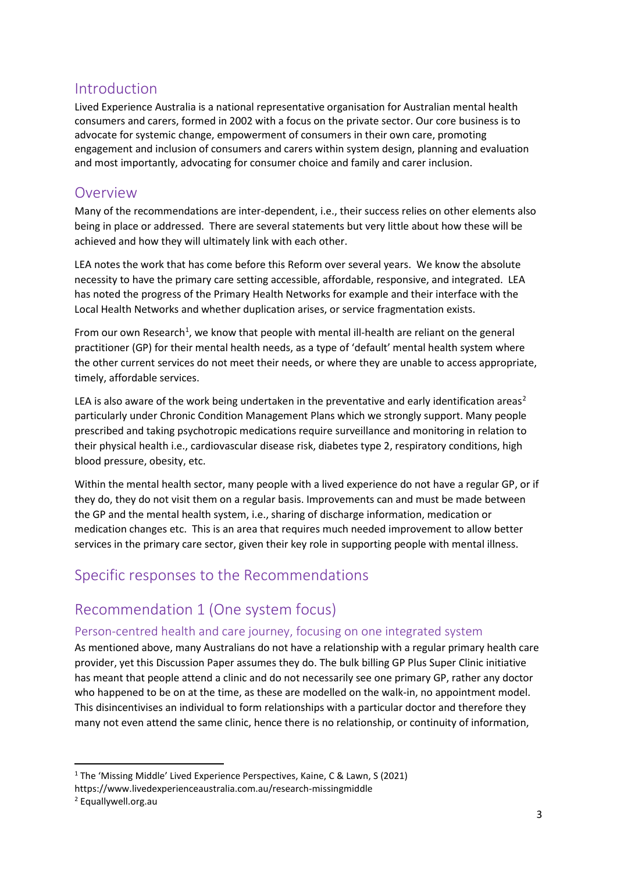# <span id="page-2-0"></span>Introduction

Lived Experience Australia is a national representative organisation for Australian mental health consumers and carers, formed in 2002 with a focus on the private sector. Our core business is to advocate for systemic change, empowerment of consumers in their own care, promoting engagement and inclusion of consumers and carers within system design, planning and evaluation and most importantly, advocating for consumer choice and family and carer inclusion.

# <span id="page-2-1"></span>Overview

Many of the recommendations are inter-dependent, i.e., their success relies on other elements also being in place or addressed. There are several statements but very little about how these will be achieved and how they will ultimately link with each other.

LEA notes the work that has come before this Reform over several years. We know the absolute necessity to have the primary care setting accessible, affordable, responsive, and integrated. LEA has noted the progress of the Primary Health Networks for example and their interface with the Local Health Networks and whether duplication arises, or service fragmentation exists.

From our own Research<sup>[1](#page-2-4)</sup>, we know that people with mental ill-health are reliant on the general practitioner (GP) for their mental health needs, as a type of 'default' mental health system where the other current services do not meet their needs, or where they are unable to access appropriate, timely, affordable services.

LEA is also aware of the work being undertaken in the preventative and early identification areas<sup>[2](#page-2-5)</sup> particularly under Chronic Condition Management Plans which we strongly support. Many people prescribed and taking psychotropic medications require surveillance and monitoring in relation to their physical health i.e., cardiovascular disease risk, diabetes type 2, respiratory conditions, high blood pressure, obesity, etc.

Within the mental health sector, many people with a lived experience do not have a regular GP, or if they do, they do not visit them on a regular basis. Improvements can and must be made between the GP and the mental health system, i.e., sharing of discharge information, medication or medication changes etc. This is an area that requires much needed improvement to allow better services in the primary care sector, given their key role in supporting people with mental illness.

# <span id="page-2-2"></span>Specific responses to the Recommendations

# <span id="page-2-3"></span>Recommendation 1 (One system focus)

#### Person-centred health and care journey, focusing on one integrated system

As mentioned above, many Australians do not have a relationship with a regular primary health care provider, yet this Discussion Paper assumes they do. The bulk billing GP Plus Super Clinic initiative has meant that people attend a clinic and do not necessarily see one primary GP, rather any doctor who happened to be on at the time, as these are modelled on the walk-in, no appointment model. This disincentivises an individual to form relationships with a particular doctor and therefore they many not even attend the same clinic, hence there is no relationship, or continuity of information,

<span id="page-2-4"></span><sup>&</sup>lt;sup>1</sup> The 'Missing Middle' Lived Experience Perspectives, Kaine, C & Lawn, S (2021)

https://www.livedexperienceaustralia.com.au/research-missingmiddle

<span id="page-2-5"></span><sup>2</sup> Equallywell.org.au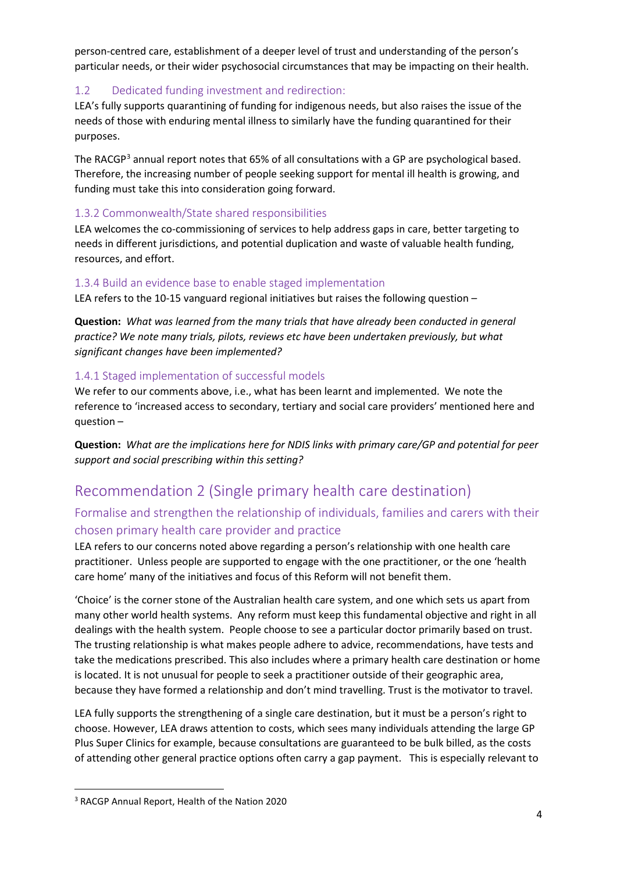person-centred care, establishment of a deeper level of trust and understanding of the person's particular needs, or their wider psychosocial circumstances that may be impacting on their health.

#### <span id="page-3-0"></span>1.2 Dedicated funding investment and redirection:

LEA's fully supports quarantining of funding for indigenous needs, but also raises the issue of the needs of those with enduring mental illness to similarly have the funding quarantined for their purposes.

The RACGP<sup>[3](#page-3-5)</sup> annual report notes that 65% of all consultations with a GP are psychological based. Therefore, the increasing number of people seeking support for mental ill health is growing, and funding must take this into consideration going forward.

#### <span id="page-3-1"></span>1.3.2 Commonwealth/State shared responsibilities

LEA welcomes the co-commissioning of services to help address gaps in care, better targeting to needs in different jurisdictions, and potential duplication and waste of valuable health funding, resources, and effort.

#### <span id="page-3-2"></span>1.3.4 Build an evidence base to enable staged implementation

LEA refers to the 10-15 vanguard regional initiatives but raises the following question –

**Question:** *What was learned from the many trials that have already been conducted in general practice? We note many trials, pilots, reviews etc have been undertaken previously, but what significant changes have been implemented?*

#### <span id="page-3-3"></span>1.4.1 Staged implementation of successful models

We refer to our comments above, i.e., what has been learnt and implemented. We note the reference to 'increased access to secondary, tertiary and social care providers' mentioned here and question –

**Question:** *What are the implications here for NDIS links with primary care/GP and potential for peer support and social prescribing within this setting?*

# <span id="page-3-4"></span>Recommendation 2 (Single primary health care destination)

#### Formalise and strengthen the relationship of individuals, families and carers with their chosen primary health care provider and practice

LEA refers to our concerns noted above regarding a person's relationship with one health care practitioner. Unless people are supported to engage with the one practitioner, or the one 'health care home' many of the initiatives and focus of this Reform will not benefit them.

'Choice' is the corner stone of the Australian health care system, and one which sets us apart from many other world health systems. Any reform must keep this fundamental objective and right in all dealings with the health system. People choose to see a particular doctor primarily based on trust. The trusting relationship is what makes people adhere to advice, recommendations, have tests and take the medications prescribed. This also includes where a primary health care destination or home is located. It is not unusual for people to seek a practitioner outside of their geographic area, because they have formed a relationship and don't mind travelling. Trust is the motivator to travel.

LEA fully supports the strengthening of a single care destination, but it must be a person's right to choose. However, LEA draws attention to costs, which sees many individuals attending the large GP Plus Super Clinics for example, because consultations are guaranteed to be bulk billed, as the costs of attending other general practice options often carry a gap payment. This is especially relevant to

<span id="page-3-5"></span><sup>3</sup> RACGP Annual Report, Health of the Nation 2020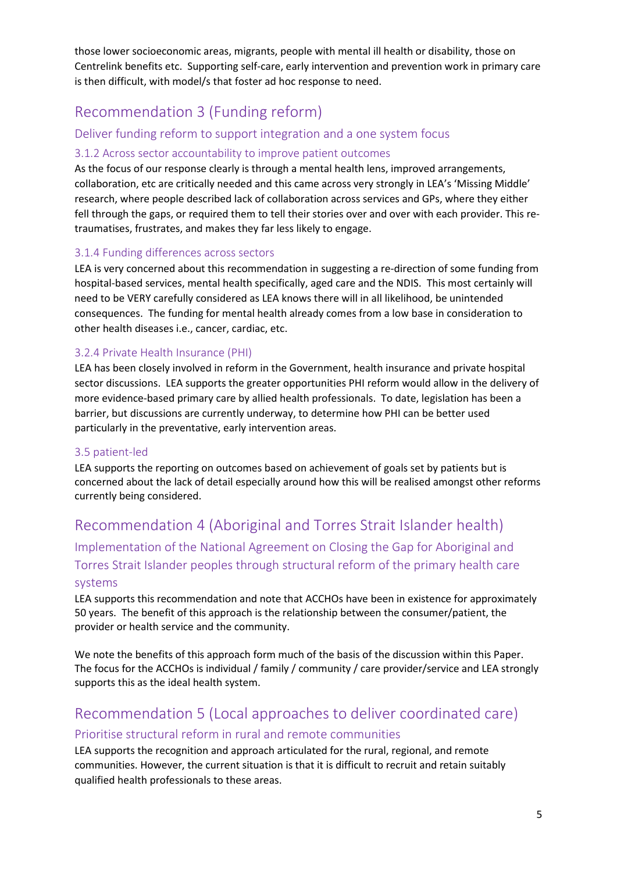those lower socioeconomic areas, migrants, people with mental ill health or disability, those on Centrelink benefits etc. Supporting self-care, early intervention and prevention work in primary care is then difficult, with model/s that foster ad hoc response to need.

# <span id="page-4-0"></span>Recommendation 3 (Funding reform)

#### Deliver funding reform to support integration and a one system focus

#### <span id="page-4-1"></span>3.1.2 Across sector accountability to improve patient outcomes

As the focus of our response clearly is through a mental health lens, improved arrangements, collaboration, etc are critically needed and this came across very strongly in LEA's 'Missing Middle' research, where people described lack of collaboration across services and GPs, where they either fell through the gaps, or required them to tell their stories over and over with each provider. This retraumatises, frustrates, and makes they far less likely to engage.

#### <span id="page-4-2"></span>3.1.4 Funding differences across sectors

LEA is very concerned about this recommendation in suggesting a re-direction of some funding from hospital-based services, mental health specifically, aged care and the NDIS. This most certainly will need to be VERY carefully considered as LEA knows there will in all likelihood, be unintended consequences. The funding for mental health already comes from a low base in consideration to other health diseases i.e., cancer, cardiac, etc.

#### <span id="page-4-3"></span>3.2.4 Private Health Insurance (PHI)

LEA has been closely involved in reform in the Government, health insurance and private hospital sector discussions. LEA supports the greater opportunities PHI reform would allow in the delivery of more evidence-based primary care by allied health professionals. To date, legislation has been a barrier, but discussions are currently underway, to determine how PHI can be better used particularly in the preventative, early intervention areas.

#### <span id="page-4-4"></span>3.5 patient-led

LEA supports the reporting on outcomes based on achievement of goals set by patients but is concerned about the lack of detail especially around how this will be realised amongst other reforms currently being considered.

# <span id="page-4-5"></span>Recommendation 4 (Aboriginal and Torres Strait Islander health)

Implementation of the National Agreement on Closing the Gap for Aboriginal and Torres Strait Islander peoples through structural reform of the primary health care systems

LEA supports this recommendation and note that ACCHOs have been in existence for approximately 50 years. The benefit of this approach is the relationship between the consumer/patient, the provider or health service and the community.

We note the benefits of this approach form much of the basis of the discussion within this Paper. The focus for the ACCHOs is individual / family / community / care provider/service and LEA strongly supports this as the ideal health system.

# <span id="page-4-6"></span>Recommendation 5 (Local approaches to deliver coordinated care) Prioritise structural reform in rural and remote communities

LEA supports the recognition and approach articulated for the rural, regional, and remote communities. However, the current situation is that it is difficult to recruit and retain suitably qualified health professionals to these areas.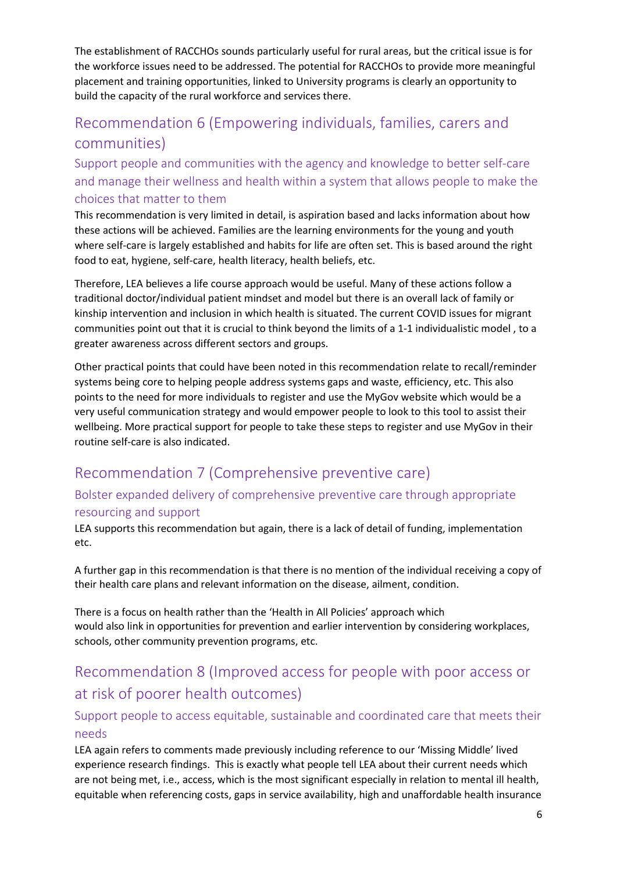The establishment of RACCHOs sounds particularly useful for rural areas, but the critical issue is for the workforce issues need to be addressed. The potential for RACCHOs to provide more meaningful placement and training opportunities, linked to University programs is clearly an opportunity to build the capacity of the rural workforce and services there.

# <span id="page-5-0"></span>Recommendation 6 (Empowering individuals, families, carers and communities)

Support people and communities with the agency and knowledge to better self-care and manage their wellness and health within a system that allows people to make the choices that matter to them

This recommendation is very limited in detail, is aspiration based and lacks information about how these actions will be achieved. Families are the learning environments for the young and youth where self-care is largely established and habits for life are often set. This is based around the right food to eat, hygiene, self-care, health literacy, health beliefs, etc.

Therefore, LEA believes a life course approach would be useful. Many of these actions follow a traditional doctor/individual patient mindset and model but there is an overall lack of family or kinship intervention and inclusion in which health is situated. The current COVID issues for migrant communities point out that it is crucial to think beyond the limits of a 1-1 individualistic model , to a greater awareness across different sectors and groups.

Other practical points that could have been noted in this recommendation relate to recall/reminder systems being core to helping people address systems gaps and waste, efficiency, etc. This also points to the need for more individuals to register and use the MyGov website which would be a very useful communication strategy and would empower people to look to this tool to assist their wellbeing. More practical support for people to take these steps to register and use MyGov in their routine self-care is also indicated.

# <span id="page-5-1"></span>Recommendation 7 (Comprehensive preventive care)

# Bolster expanded delivery of comprehensive preventive care through appropriate

### resourcing and support

LEA supports this recommendation but again, there is a lack of detail of funding, implementation etc.

A further gap in this recommendation is that there is no mention of the individual receiving a copy of their health care plans and relevant information on the disease, ailment, condition.

There is a focus on health rather than the 'Health in All Policies' approach which would also link in opportunities for prevention and earlier intervention by considering workplaces, schools, other community prevention programs, etc.

# <span id="page-5-2"></span>Recommendation 8 (Improved access for people with poor access or at risk of poorer health outcomes)

#### Support people to access equitable, sustainable and coordinated care that meets their needs

LEA again refers to comments made previously including reference to our 'Missing Middle' lived experience research findings. This is exactly what people tell LEA about their current needs which are not being met, i.e., access, which is the most significant especially in relation to mental ill health, equitable when referencing costs, gaps in service availability, high and unaffordable health insurance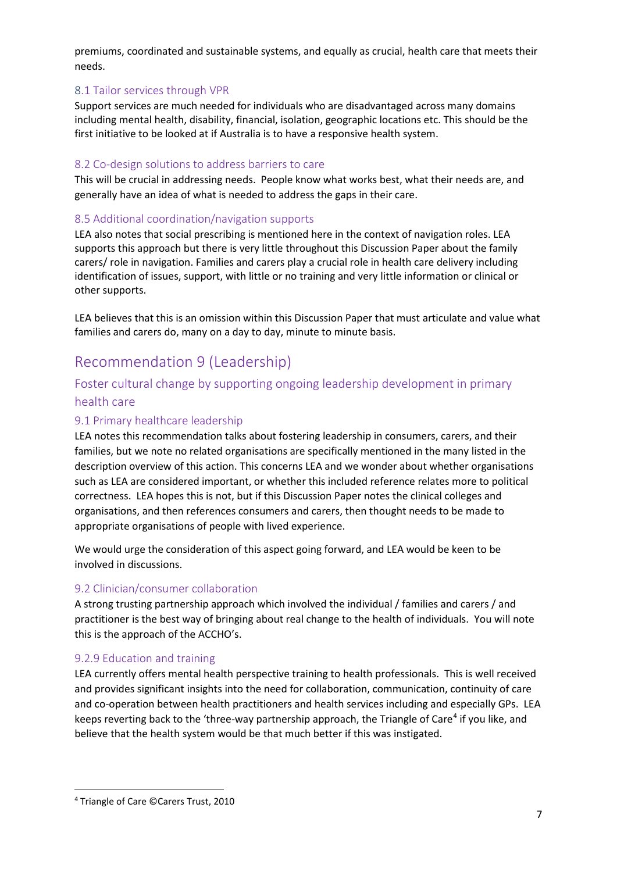premiums, coordinated and sustainable systems, and equally as crucial, health care that meets their needs.

#### <span id="page-6-0"></span>8.1 Tailor services through VPR

Support services are much needed for individuals who are disadvantaged across many domains including mental health, disability, financial, isolation, geographic locations etc. This should be the first initiative to be looked at if Australia is to have a responsive health system.

#### <span id="page-6-1"></span>8.2 Co-design solutions to address barriers to care

This will be crucial in addressing needs. People know what works best, what their needs are, and generally have an idea of what is needed to address the gaps in their care.

#### <span id="page-6-2"></span>8.5 Additional coordination/navigation supports

LEA also notes that social prescribing is mentioned here in the context of navigation roles. LEA supports this approach but there is very little throughout this Discussion Paper about the family carers/ role in navigation. Families and carers play a crucial role in health care delivery including identification of issues, support, with little or no training and very little information or clinical or other supports.

LEA believes that this is an omission within this Discussion Paper that must articulate and value what families and carers do, many on a day to day, minute to minute basis.

# <span id="page-6-3"></span>Recommendation 9 (Leadership)

#### Foster cultural change by supporting ongoing leadership development in primary health care

#### <span id="page-6-4"></span>9.1 Primary healthcare leadership

LEA notes this recommendation talks about fostering leadership in consumers, carers, and their families, but we note no related organisations are specifically mentioned in the many listed in the description overview of this action. This concerns LEA and we wonder about whether organisations such as LEA are considered important, or whether this included reference relates more to political correctness. LEA hopes this is not, but if this Discussion Paper notes the clinical colleges and organisations, and then references consumers and carers, then thought needs to be made to appropriate organisations of people with lived experience.

We would urge the consideration of this aspect going forward, and LEA would be keen to be involved in discussions.

#### <span id="page-6-5"></span>9.2 Clinician/consumer collaboration

A strong trusting partnership approach which involved the individual / families and carers / and practitioner is the best way of bringing about real change to the health of individuals. You will note this is the approach of the ACCHO's.

#### <span id="page-6-6"></span>9.2.9 Education and training

LEA currently offers mental health perspective training to health professionals. This is well received and provides significant insights into the need for collaboration, communication, continuity of care and co-operation between health practitioners and health services including and especially GPs. LEA keeps reverting back to the 'three-way partnership approach, the Triangle of Care<sup>[4](#page-6-7)</sup> if you like, and believe that the health system would be that much better if this was instigated.

<span id="page-6-7"></span><sup>4</sup> Triangle of Care ©Carers Trust, 2010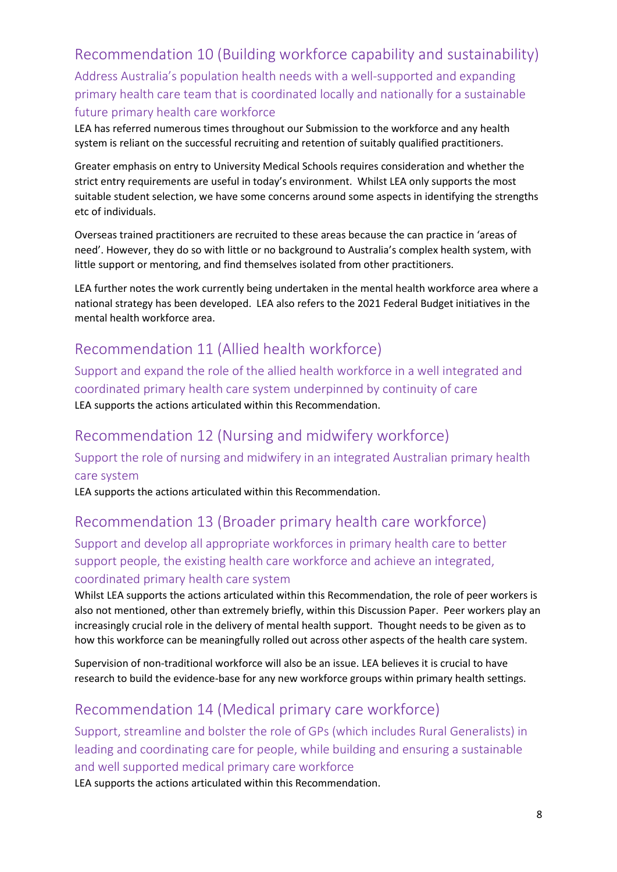# <span id="page-7-0"></span>Recommendation 10 (Building workforce capability and sustainability)

Address Australia's population health needs with a well-supported and expanding primary health care team that is coordinated locally and nationally for a sustainable future primary health care workforce

LEA has referred numerous times throughout our Submission to the workforce and any health system is reliant on the successful recruiting and retention of suitably qualified practitioners.

Greater emphasis on entry to University Medical Schools requires consideration and whether the strict entry requirements are useful in today's environment. Whilst LEA only supports the most suitable student selection, we have some concerns around some aspects in identifying the strengths etc of individuals.

Overseas trained practitioners are recruited to these areas because the can practice in 'areas of need'. However, they do so with little or no background to Australia's complex health system, with little support or mentoring, and find themselves isolated from other practitioners.

LEA further notes the work currently being undertaken in the mental health workforce area where a national strategy has been developed. LEA also refers to the 2021 Federal Budget initiatives in the mental health workforce area.

# <span id="page-7-1"></span>Recommendation 11 (Allied health workforce)

Support and expand the role of the allied health workforce in a well integrated and coordinated primary health care system underpinned by continuity of care LEA supports the actions articulated within this Recommendation.

# <span id="page-7-2"></span>Recommendation 12 (Nursing and midwifery workforce)

Support the role of nursing and midwifery in an integrated Australian primary health care system

<span id="page-7-3"></span>LEA supports the actions articulated within this Recommendation.

# Recommendation 13 (Broader primary health care workforce)

Support and develop all appropriate workforces in primary health care to better support people, the existing health care workforce and achieve an integrated, coordinated primary health care system

Whilst LEA supports the actions articulated within this Recommendation, the role of peer workers is also not mentioned, other than extremely briefly, within this Discussion Paper. Peer workers play an increasingly crucial role in the delivery of mental health support. Thought needs to be given as to how this workforce can be meaningfully rolled out across other aspects of the health care system.

Supervision of non-traditional workforce will also be an issue. LEA believes it is crucial to have research to build the evidence-base for any new workforce groups within primary health settings.

# <span id="page-7-4"></span>Recommendation 14 (Medical primary care workforce)

Support, streamline and bolster the role of GPs (which includes Rural Generalists) in leading and coordinating care for people, while building and ensuring a sustainable and well supported medical primary care workforce

LEA supports the actions articulated within this Recommendation.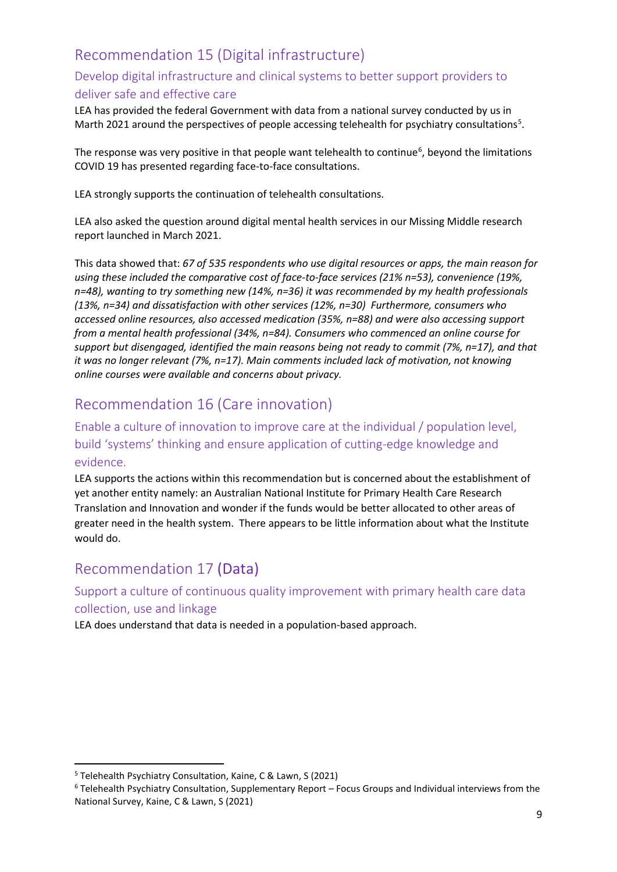# <span id="page-8-0"></span>Recommendation 15 (Digital infrastructure)

#### Develop digital infrastructure and clinical systems to better support providers to deliver safe and effective care

LEA has provided the federal Government with data from a national survey conducted by us in Marth 2021 around the perspectives of people accessing telehealth for psychiatry consultations<sup>[5](#page-8-3)</sup>.

The response was very positive in that people want telehealth to continue<sup>[6](#page-8-4)</sup>, beyond the limitations COVID 19 has presented regarding face-to-face consultations.

LEA strongly supports the continuation of telehealth consultations.

LEA also asked the question around digital mental health services in our Missing Middle research report launched in March 2021.

This data showed that: *67 of 535 respondents who use digital resources or apps, the main reason for using these included the comparative cost of face-to-face services (21% n=53), convenience (19%, n=48), wanting to try something new (14%, n=36) it was recommended by my health professionals (13%, n=34) and dissatisfaction with other services (12%, n=30) Furthermore, consumers who accessed online resources, also accessed medication (35%, n=88) and were also accessing support from a mental health professional (34%, n=84). Consumers who commenced an online course for support but disengaged, identified the main reasons being not ready to commit (7%, n=17), and that it was no longer relevant (7%, n=17). Main comments included lack of motivation, not knowing online courses were available and concerns about privacy.*

# <span id="page-8-1"></span>Recommendation 16 (Care innovation)

### Enable a culture of innovation to improve care at the individual / population level, build 'systems' thinking and ensure application of cutting-edge knowledge and evidence.

LEA supports the actions within this recommendation but is concerned about the establishment of yet another entity namely: an Australian National Institute for Primary Health Care Research Translation and Innovation and wonder if the funds would be better allocated to other areas of greater need in the health system. There appears to be little information about what the Institute would do.

# <span id="page-8-2"></span>Recommendation 17 (Data)

#### Support a culture of continuous quality improvement with primary health care data collection, use and linkage

LEA does understand that data is needed in a population-based approach.

<span id="page-8-3"></span><sup>5</sup> Telehealth Psychiatry Consultation, Kaine, C & Lawn, S (2021)

<span id="page-8-4"></span><sup>6</sup> Telehealth Psychiatry Consultation, Supplementary Report – Focus Groups and Individual interviews from the National Survey, Kaine, C & Lawn, S (2021)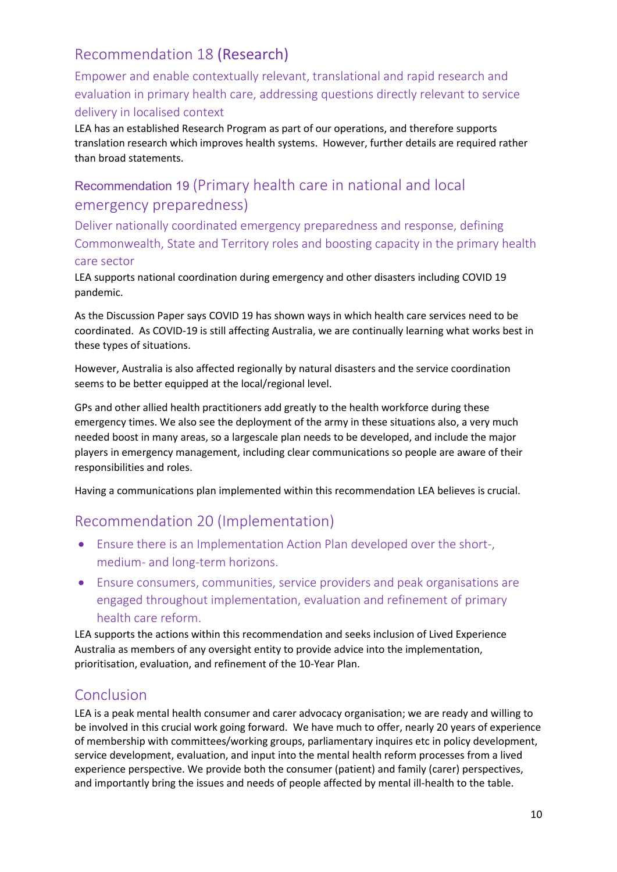# <span id="page-9-0"></span>Recommendation 18 (Research)

Empower and enable contextually relevant, translational and rapid research and evaluation in primary health care, addressing questions directly relevant to service delivery in localised context

LEA has an established Research Program as part of our operations, and therefore supports translation research which improves health systems. However, further details are required rather than broad statements.

# Recommendation 19 (Primary health care in national and local emergency preparedness)

Deliver nationally coordinated emergency preparedness and response, defining Commonwealth, State and Territory roles and boosting capacity in the primary health care sector

LEA supports national coordination during emergency and other disasters including COVID 19 pandemic.

As the Discussion Paper says COVID 19 has shown ways in which health care services need to be coordinated. As COVID-19 is still affecting Australia, we are continually learning what works best in these types of situations.

However, Australia is also affected regionally by natural disasters and the service coordination seems to be better equipped at the local/regional level.

GPs and other allied health practitioners add greatly to the health workforce during these emergency times. We also see the deployment of the army in these situations also, a very much needed boost in many areas, so a largescale plan needs to be developed, and include the major players in emergency management, including clear communications so people are aware of their responsibilities and roles.

Having a communications plan implemented within this recommendation LEA believes is crucial.

# <span id="page-9-1"></span>Recommendation 20 (Implementation)

- Ensure there is an Implementation Action Plan developed over the short-, medium- and long-term horizons.
- Ensure consumers, communities, service providers and peak organisations are engaged throughout implementation, evaluation and refinement of primary health care reform.

LEA supports the actions within this recommendation and seeks inclusion of Lived Experience Australia as members of any oversight entity to provide advice into the implementation, prioritisation, evaluation, and refinement of the 10-Year Plan.

# <span id="page-9-2"></span>Conclusion

LEA is a peak mental health consumer and carer advocacy organisation; we are ready and willing to be involved in this crucial work going forward. We have much to offer, nearly 20 years of experience of membership with committees/working groups, parliamentary inquires etc in policy development, service development, evaluation, and input into the mental health reform processes from a lived experience perspective. We provide both the consumer (patient) and family (carer) perspectives, and importantly bring the issues and needs of people affected by mental ill-health to the table.